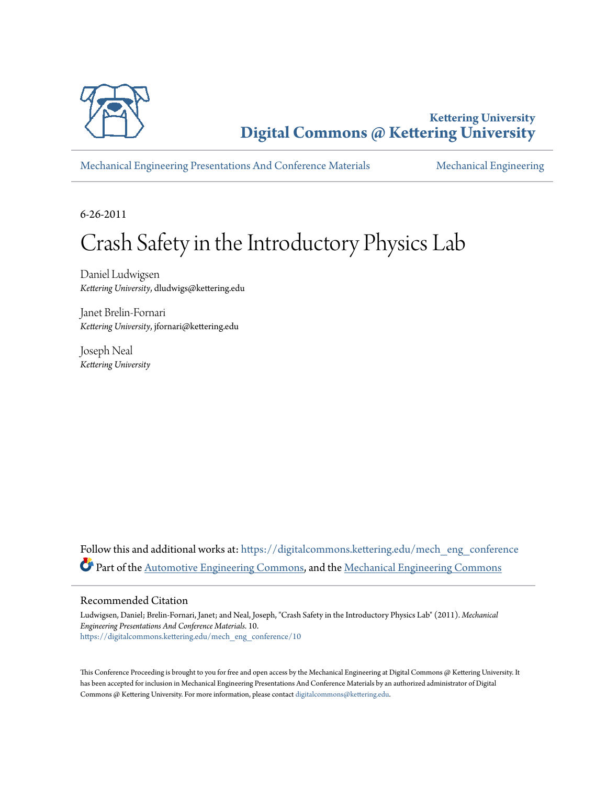

**Kettering University [Digital Commons @ Kettering University](https://digitalcommons.kettering.edu?utm_source=digitalcommons.kettering.edu%2Fmech_eng_conference%2F10&utm_medium=PDF&utm_campaign=PDFCoverPages)**

[Mechanical Engineering Presentations And Conference Materials](https://digitalcommons.kettering.edu/mech_eng_conference?utm_source=digitalcommons.kettering.edu%2Fmech_eng_conference%2F10&utm_medium=PDF&utm_campaign=PDFCoverPages) [Mechanical Engineering](https://digitalcommons.kettering.edu/mech_eng?utm_source=digitalcommons.kettering.edu%2Fmech_eng_conference%2F10&utm_medium=PDF&utm_campaign=PDFCoverPages)

6-26-2011

# Crash Safety in the Introductory Physics Lab

Daniel Ludwigsen *Kettering University*, dludwigs@kettering.edu

Janet Brelin-Fornari *Kettering University*, jfornari@kettering.edu

Joseph Neal *Kettering University*

Follow this and additional works at: [https://digitalcommons.kettering.edu/mech\\_eng\\_conference](https://digitalcommons.kettering.edu/mech_eng_conference?utm_source=digitalcommons.kettering.edu%2Fmech_eng_conference%2F10&utm_medium=PDF&utm_campaign=PDFCoverPages) Part of the [Automotive Engineering Commons,](http://network.bepress.com/hgg/discipline/1319?utm_source=digitalcommons.kettering.edu%2Fmech_eng_conference%2F10&utm_medium=PDF&utm_campaign=PDFCoverPages) and the [Mechanical Engineering Commons](http://network.bepress.com/hgg/discipline/293?utm_source=digitalcommons.kettering.edu%2Fmech_eng_conference%2F10&utm_medium=PDF&utm_campaign=PDFCoverPages)

#### Recommended Citation

Ludwigsen, Daniel; Brelin-Fornari, Janet; and Neal, Joseph, "Crash Safety in the Introductory Physics Lab" (2011). *Mechanical Engineering Presentations And Conference Materials*. 10. [https://digitalcommons.kettering.edu/mech\\_eng\\_conference/10](https://digitalcommons.kettering.edu/mech_eng_conference/10?utm_source=digitalcommons.kettering.edu%2Fmech_eng_conference%2F10&utm_medium=PDF&utm_campaign=PDFCoverPages)

This Conference Proceeding is brought to you for free and open access by the Mechanical Engineering at Digital Commons @ Kettering University. It has been accepted for inclusion in Mechanical Engineering Presentations And Conference Materials by an authorized administrator of Digital Commons @ Kettering University. For more information, please contact [digitalcommons@kettering.edu.](mailto:digitalcommons@kettering.edu)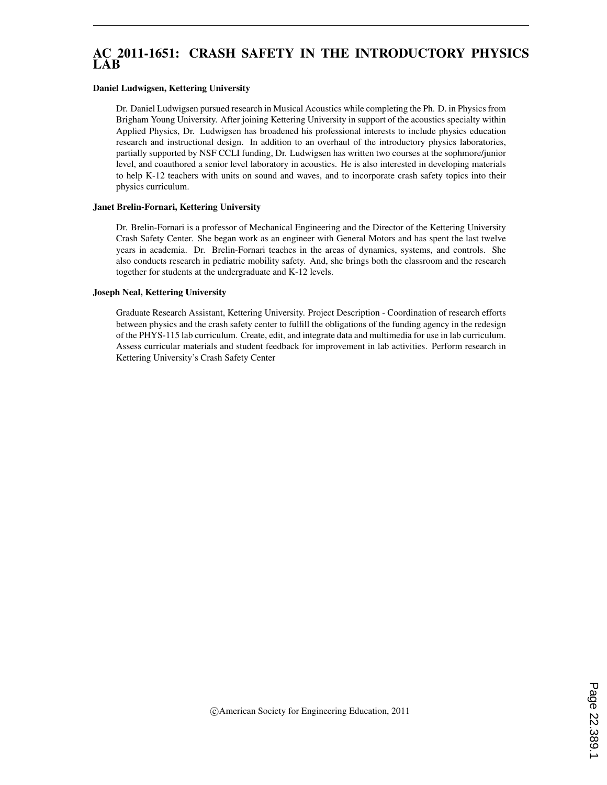## AC 2011-1651: CRASH SAFETY IN THE INTRODUCTORY PHYSICS LAB

#### Daniel Ludwigsen, Kettering University

Dr. Daniel Ludwigsen pursued research in Musical Acoustics while completing the Ph. D. in Physics from Brigham Young University. After joining Kettering University in support of the acoustics specialty within Applied Physics, Dr. Ludwigsen has broadened his professional interests to include physics education research and instructional design. In addition to an overhaul of the introductory physics laboratories, partially supported by NSF CCLI funding, Dr. Ludwigsen has written two courses at the sophmore/junior level, and coauthored a senior level laboratory in acoustics. He is also interested in developing materials to help K-12 teachers with units on sound and waves, and to incorporate crash safety topics into their physics curriculum.

#### Janet Brelin-Fornari, Kettering University

Dr. Brelin-Fornari is a professor of Mechanical Engineering and the Director of the Kettering University Crash Safety Center. She began work as an engineer with General Motors and has spent the last twelve years in academia. Dr. Brelin-Fornari teaches in the areas of dynamics, systems, and controls. She also conducts research in pediatric mobility safety. And, she brings both the classroom and the research together for students at the undergraduate and K-12 levels.

#### Joseph Neal, Kettering University

Graduate Research Assistant, Kettering University. Project Description - Coordination of research efforts between physics and the crash safety center to fulfill the obligations of the funding agency in the redesign of the PHYS-115 lab curriculum. Create, edit, and integrate data and multimedia for use in lab curriculum. Assess curricular materials and student feedback for improvement in lab activities. Perform research in Kettering University's Crash Safety Center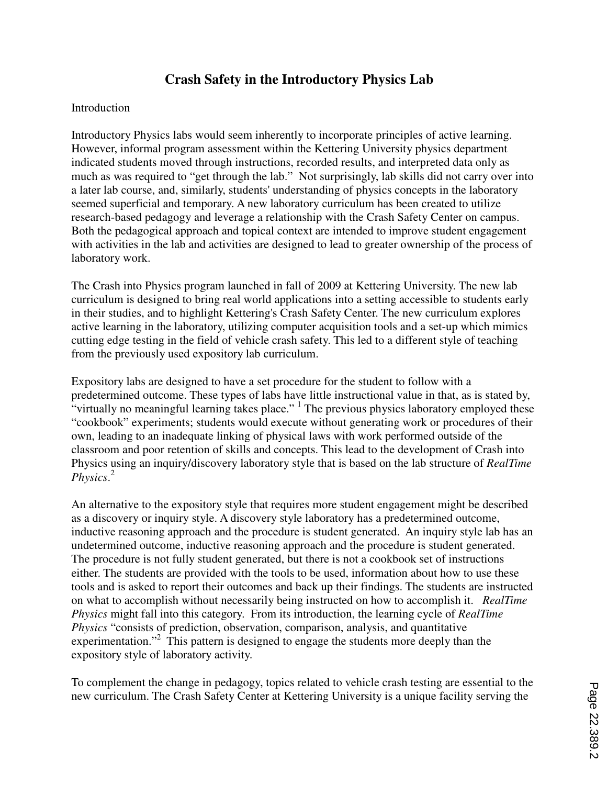# **Crash Safety in the Introductory Physics Lab**

## Introduction

Introductory Physics labs would seem inherently to incorporate principles of active learning. However, informal program assessment within the Kettering University physics department indicated students moved through instructions, recorded results, and interpreted data only as much as was required to "get through the lab." Not surprisingly, lab skills did not carry over into a later lab course, and, similarly, students' understanding of physics concepts in the laboratory seemed superficial and temporary. A new laboratory curriculum has been created to utilize research-based pedagogy and leverage a relationship with the Crash Safety Center on campus. Both the pedagogical approach and topical context are intended to improve student engagement with activities in the lab and activities are designed to lead to greater ownership of the process of laboratory work.

The Crash into Physics program launched in fall of 2009 at Kettering University. The new lab curriculum is designed to bring real world applications into a setting accessible to students early in their studies, and to highlight Kettering's Crash Safety Center. The new curriculum explores active learning in the laboratory, utilizing computer acquisition tools and a set-up which mimics cutting edge testing in the field of vehicle crash safety. This led to a different style of teaching from the previously used expository lab curriculum.

Expository labs are designed to have a set procedure for the student to follow with a predetermined outcome. These types of labs have little instructional value in that, as is stated by, "virtually no meaningful learning takes place."  $\frac{1}{1}$  The previous physics laboratory employed these "cookbook" experiments; students would execute without generating work or procedures of their own, leading to an inadequate linking of physical laws with work performed outside of the classroom and poor retention of skills and concepts. This lead to the development of Crash into Physics using an inquiry/discovery laboratory style that is based on the lab structure of *RealTime Physics*. 2

An alternative to the expository style that requires more student engagement might be described as a discovery or inquiry style. A discovery style laboratory has a predetermined outcome, inductive reasoning approach and the procedure is student generated. An inquiry style lab has an undetermined outcome, inductive reasoning approach and the procedure is student generated. The procedure is not fully student generated, but there is not a cookbook set of instructions either. The students are provided with the tools to be used, information about how to use these tools and is asked to report their outcomes and back up their findings. The students are instructed on what to accomplish without necessarily being instructed on how to accomplish it. *RealTime Physics* might fall into this category. From its introduction, the learning cycle of *RealTime Physics* "consists of prediction, observation, comparison, analysis, and quantitative experimentation."<sup>2</sup> This pattern is designed to engage the students more deeply than the expository style of laboratory activity.

To complement the change in pedagogy, topics related to vehicle crash testing are essential to the new curriculum. The Crash Safety Center at Kettering University is a unique facility serving the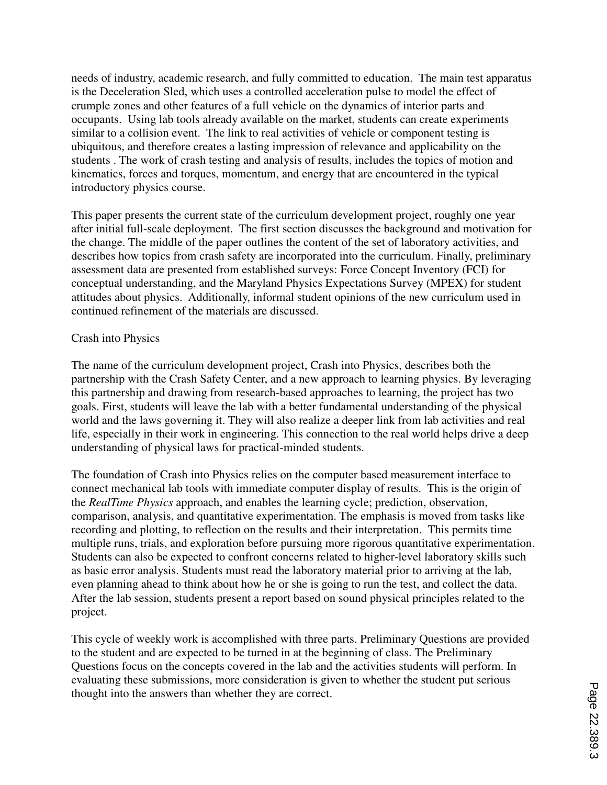needs of industry, academic research, and fully committed to education. The main test apparatus is the Deceleration Sled, which uses a controlled acceleration pulse to model the effect of crumple zones and other features of a full vehicle on the dynamics of interior parts and occupants. Using lab tools already available on the market, students can create experiments similar to a collision event. The link to real activities of vehicle or component testing is ubiquitous, and therefore creates a lasting impression of relevance and applicability on the students . The work of crash testing and analysis of results, includes the topics of motion and kinematics, forces and torques, momentum, and energy that are encountered in the typical introductory physics course.

This paper presents the current state of the curriculum development project, roughly one year after initial full-scale deployment. The first section discusses the background and motivation for the change. The middle of the paper outlines the content of the set of laboratory activities, and describes how topics from crash safety are incorporated into the curriculum. Finally, preliminary assessment data are presented from established surveys: Force Concept Inventory (FCI) for conceptual understanding, and the Maryland Physics Expectations Survey (MPEX) for student attitudes about physics. Additionally, informal student opinions of the new curriculum used in continued refinement of the materials are discussed.

## Crash into Physics

The name of the curriculum development project, Crash into Physics, describes both the partnership with the Crash Safety Center, and a new approach to learning physics. By leveraging this partnership and drawing from research-based approaches to learning, the project has two goals. First, students will leave the lab with a better fundamental understanding of the physical world and the laws governing it. They will also realize a deeper link from lab activities and real life, especially in their work in engineering. This connection to the real world helps drive a deep understanding of physical laws for practical-minded students.

The foundation of Crash into Physics relies on the computer based measurement interface to connect mechanical lab tools with immediate computer display of results. This is the origin of the *RealTime Physics* approach, and enables the learning cycle; prediction, observation, comparison, analysis, and quantitative experimentation. The emphasis is moved from tasks like recording and plotting, to reflection on the results and their interpretation. This permits time multiple runs, trials, and exploration before pursuing more rigorous quantitative experimentation. Students can also be expected to confront concerns related to higher-level laboratory skills such as basic error analysis. Students must read the laboratory material prior to arriving at the lab, even planning ahead to think about how he or she is going to run the test, and collect the data. After the lab session, students present a report based on sound physical principles related to the project.

This cycle of weekly work is accomplished with three parts. Preliminary Questions are provided to the student and are expected to be turned in at the beginning of class. The Preliminary Questions focus on the concepts covered in the lab and the activities students will perform. In evaluating these submissions, more consideration is given to whether the student put serious thought into the answers than whether they are correct.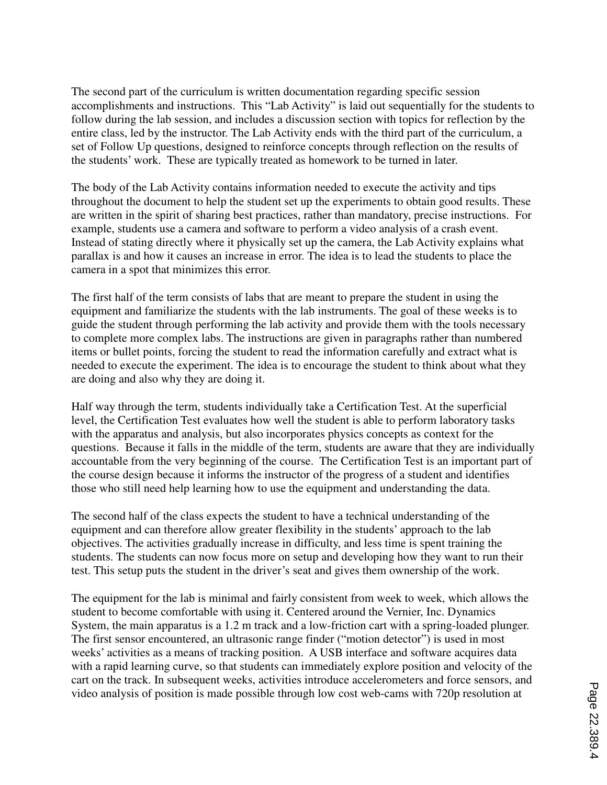The second part of the curriculum is written documentation regarding specific session accomplishments and instructions. This "Lab Activity" is laid out sequentially for the students to follow during the lab session, and includes a discussion section with topics for reflection by the entire class, led by the instructor. The Lab Activity ends with the third part of the curriculum, a set of Follow Up questions, designed to reinforce concepts through reflection on the results of the students' work. These are typically treated as homework to be turned in later.

The body of the Lab Activity contains information needed to execute the activity and tips throughout the document to help the student set up the experiments to obtain good results. These are written in the spirit of sharing best practices, rather than mandatory, precise instructions. For example, students use a camera and software to perform a video analysis of a crash event. Instead of stating directly where it physically set up the camera, the Lab Activity explains what parallax is and how it causes an increase in error. The idea is to lead the students to place the camera in a spot that minimizes this error.

The first half of the term consists of labs that are meant to prepare the student in using the equipment and familiarize the students with the lab instruments. The goal of these weeks is to guide the student through performing the lab activity and provide them with the tools necessary to complete more complex labs. The instructions are given in paragraphs rather than numbered items or bullet points, forcing the student to read the information carefully and extract what is needed to execute the experiment. The idea is to encourage the student to think about what they are doing and also why they are doing it.

Half way through the term, students individually take a Certification Test. At the superficial level, the Certification Test evaluates how well the student is able to perform laboratory tasks with the apparatus and analysis, but also incorporates physics concepts as context for the questions. Because it falls in the middle of the term, students are aware that they are individually accountable from the very beginning of the course. The Certification Test is an important part of the course design because it informs the instructor of the progress of a student and identifies those who still need help learning how to use the equipment and understanding the data.

The second half of the class expects the student to have a technical understanding of the equipment and can therefore allow greater flexibility in the students' approach to the lab objectives. The activities gradually increase in difficulty, and less time is spent training the students. The students can now focus more on setup and developing how they want to run their test. This setup puts the student in the driver's seat and gives them ownership of the work.

The equipment for the lab is minimal and fairly consistent from week to week, which allows the student to become comfortable with using it. Centered around the Vernier, Inc. Dynamics System, the main apparatus is a 1.2 m track and a low-friction cart with a spring-loaded plunger. The first sensor encountered, an ultrasonic range finder ("motion detector") is used in most weeks' activities as a means of tracking position. A USB interface and software acquires data with a rapid learning curve, so that students can immediately explore position and velocity of the cart on the track. In subsequent weeks, activities introduce accelerometers and force sensors, and video analysis of position is made possible through low cost web-cams with 720p resolution at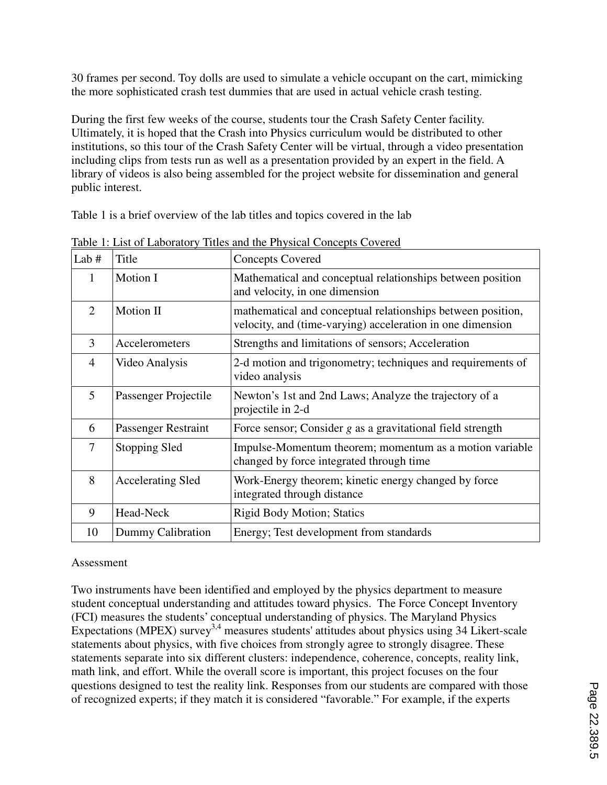30 frames per second. Toy dolls are used to simulate a vehicle occupant on the cart, mimicking the more sophisticated crash test dummies that are used in actual vehicle crash testing.

During the first few weeks of the course, students tour the Crash Safety Center facility. Ultimately, it is hoped that the Crash into Physics curriculum would be distributed to other institutions, so this tour of the Crash Safety Center will be virtual, through a video presentation including clips from tests run as well as a presentation provided by an expert in the field. A library of videos is also being assembled for the project website for dissemination and general public interest.

Table 1 is a brief overview of the lab titles and topics covered in the lab

| Lab #          | Title                    | <b>Concepts Covered</b>                                                                                                   |
|----------------|--------------------------|---------------------------------------------------------------------------------------------------------------------------|
| 1              | Motion I                 | Mathematical and conceptual relationships between position<br>and velocity, in one dimension                              |
| 2              | Motion II                | mathematical and conceptual relationships between position,<br>velocity, and (time-varying) acceleration in one dimension |
| 3              | Accelerometers           | Strengths and limitations of sensors; Acceleration                                                                        |
| $\overline{4}$ | Video Analysis           | 2-d motion and trigonometry; techniques and requirements of<br>video analysis                                             |
| 5              | Passenger Projectile     | Newton's 1st and 2nd Laws; Analyze the trajectory of a<br>projectile in 2-d                                               |
| 6              | Passenger Restraint      | Force sensor; Consider $g$ as a gravitational field strength                                                              |
| $\overline{7}$ | Stopping Sled            | Impulse-Momentum theorem; momentum as a motion variable<br>changed by force integrated through time                       |
| 8              | <b>Accelerating Sled</b> | Work-Energy theorem; kinetic energy changed by force<br>integrated through distance                                       |
| 9              | Head-Neck                | <b>Rigid Body Motion; Statics</b>                                                                                         |
| 10             | Dummy Calibration        | Energy; Test development from standards                                                                                   |

Table 1: List of Laboratory Titles and the Physical Concepts Covered

## Assessment

Two instruments have been identified and employed by the physics department to measure student conceptual understanding and attitudes toward physics. The Force Concept Inventory (FCI) measures the students' conceptual understanding of physics. The Maryland Physics Expectations (MPEX) survey<sup>3,4</sup> measures students' attitudes about physics using 34 Likert-scale statements about physics, with five choices from strongly agree to strongly disagree. These statements separate into six different clusters: independence, coherence, concepts, reality link, math link, and effort. While the overall score is important, this project focuses on the four questions designed to test the reality link. Responses from our students are compared with those of recognized experts; if they match it is considered "favorable." For example, if the experts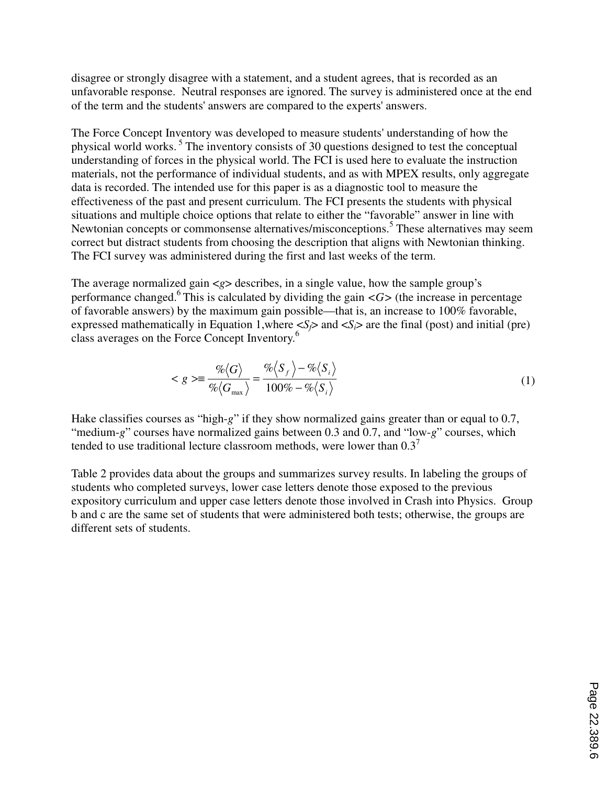disagree or strongly disagree with a statement, and a student agrees, that is recorded as an unfavorable response. Neutral responses are ignored. The survey is administered once at the end of the term and the students' answers are compared to the experts' answers.

The Force Concept Inventory was developed to measure students' understanding of how the physical world works.<sup>5</sup> The inventory consists of 30 questions designed to test the conceptual understanding of forces in the physical world. The FCI is used here to evaluate the instruction materials, not the performance of individual students, and as with MPEX results, only aggregate data is recorded. The intended use for this paper is as a diagnostic tool to measure the effectiveness of the past and present curriculum. The FCI presents the students with physical situations and multiple choice options that relate to either the "favorable" answer in line with Newtonian concepts or commonsense alternatives/misconceptions.<sup>5</sup> These alternatives may seem correct but distract students from choosing the description that aligns with Newtonian thinking. The FCI survey was administered during the first and last weeks of the term.

The average normalized gain  $\langle g \rangle$  describes, in a single value, how the sample group's performance changed.<sup>6</sup> This is calculated by dividing the gain  $\langle G \rangle$  (the increase in percentage of favorable answers) by the maximum gain possible—that is, an increase to 100% favorable, expressed mathematically in Equation 1, where  $\langle S_f \rangle$  and  $\langle S_i \rangle$  are the final (post) and initial (pre) class averages on the Force Concept Inventory.<sup>6</sup>

$$
\langle g \rangle \equiv \frac{\% \langle G \rangle}{\% \langle G_{\text{max}} \rangle} = \frac{\% \langle S_{f} \rangle - \% \langle S_{i} \rangle}{100\% - \% \langle S_{i} \rangle} \tag{1}
$$

Hake classifies courses as "high-*g*" if they show normalized gains greater than or equal to 0.7, "medium-*g*" courses have normalized gains between 0.3 and 0.7, and "low-*g*" courses, which tended to use traditional lecture classroom methods, were lower than  $0.3<sup>7</sup>$ 

Table 2 provides data about the groups and summarizes survey results. In labeling the groups of students who completed surveys, lower case letters denote those exposed to the previous expository curriculum and upper case letters denote those involved in Crash into Physics. Group b and c are the same set of students that were administered both tests; otherwise, the groups are different sets of students.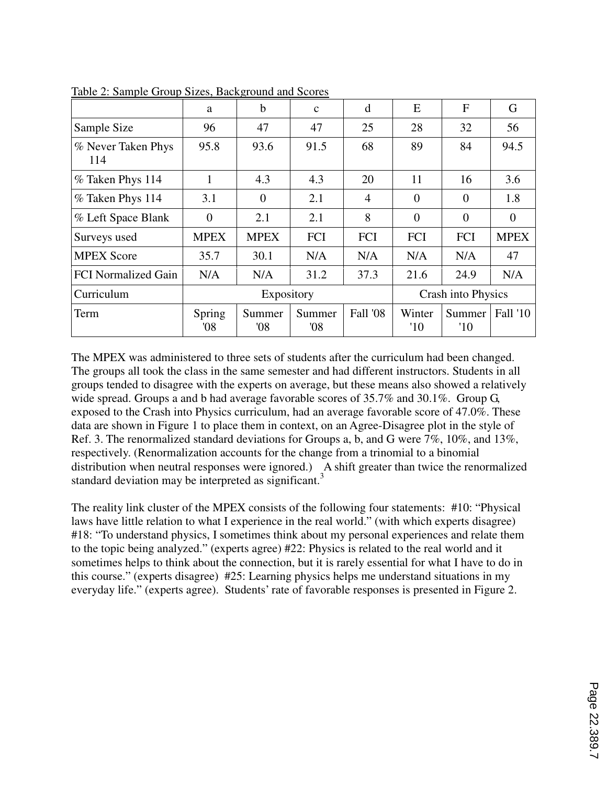|                            | a              | b              | $\mathbf{C}$  | d          | E                       | F              | G               |
|----------------------------|----------------|----------------|---------------|------------|-------------------------|----------------|-----------------|
| Sample Size                | 96             | 47             | 47            | 25         | 28                      | 32             | 56              |
| % Never Taken Phys<br>114  | 95.8           | 93.6           | 91.5          | 68         | 89                      | 84             | 94.5            |
| % Taken Phys 114           | $\mathbf{1}$   | 4.3            | 4.3           | 20         | 11                      | 16             | 3.6             |
| % Taken Phys 114           | 3.1            | $\overline{0}$ | 2.1           | 4          | $\overline{0}$          | $\Omega$       | 1.8             |
| % Left Space Blank         | $\overline{0}$ | 2.1            | 2.1           | 8          | $\overline{0}$          | $\overline{0}$ | $\theta$        |
| Surveys used               | <b>MPEX</b>    | <b>MPEX</b>    | FCI           | <b>FCI</b> | FCI                     | FCI            | <b>MPEX</b>     |
| <b>MPEX Score</b>          | 35.7           | 30.1           | N/A           | N/A        | N/A                     | N/A            | 47              |
| <b>FCI</b> Normalized Gain | N/A            | N/A            | 31.2          | 37.3       | 21.6                    | 24.9           | N/A             |
| Curriculum                 | Expository     |                |               |            | Crash into Physics      |                |                 |
| Term                       | Spring<br>08'  | Summer<br>08'  | Summer<br>08' | Fall '08   | Winter<br>$^{\prime}10$ | Summer<br>'10  | <b>Fall '10</b> |

Table 2: Sample Group Sizes, Background and Scores

The MPEX was administered to three sets of students after the curriculum had been changed. The groups all took the class in the same semester and had different instructors. Students in all groups tended to disagree with the experts on average, but these means also showed a relatively wide spread. Groups a and b had average favorable scores of 35.7% and 30.1%. Group G, exposed to the Crash into Physics curriculum, had an average favorable score of 47.0%. These data are shown in Figure 1 to place them in context, on an Agree-Disagree plot in the style of Ref. 3. The renormalized standard deviations for Groups a, b, and G were 7%, 10%, and 13%, respectively. (Renormalization accounts for the change from a trinomial to a binomial distribution when neutral responses were ignored.) A shift greater than twice the renormalized standard deviation may be interpreted as significant.<sup>3</sup>

The reality link cluster of the MPEX consists of the following four statements: #10: "Physical laws have little relation to what I experience in the real world." (with which experts disagree) #18: "To understand physics, I sometimes think about my personal experiences and relate them to the topic being analyzed." (experts agree) #22: Physics is related to the real world and it sometimes helps to think about the connection, but it is rarely essential for what I have to do in this course." (experts disagree) #25: Learning physics helps me understand situations in my everyday life." (experts agree). Students' rate of favorable responses is presented in Figure 2.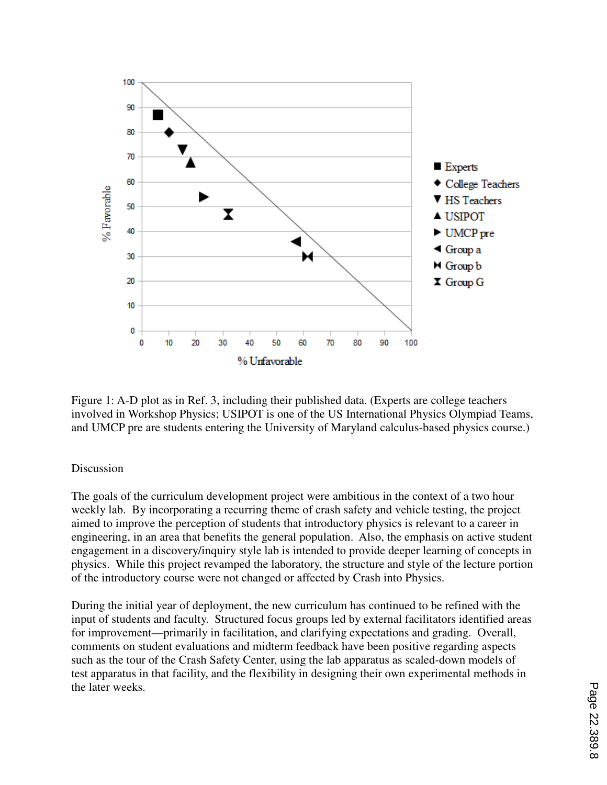

Figure 1: A-D plot as in Ref. 3, including their published data. (Experts are college teachers involved in Workshop Physics; USIPOT is one of the US International Physics Olympiad Teams, and UMCP pre are students entering the University of Maryland calculus-based physics course.)

## Discussion

The goals of the curriculum development project were ambitious in the context of a two hour weekly lab. By incorporating a recurring theme of crash safety and vehicle testing, the project aimed to improve the perception of students that introductory physics is relevant to a career in engineering, in an area that benefits the general population. Also, the emphasis on active student engagement in a discovery/inquiry style lab is intended to provide deeper learning of concepts in physics. While this project revamped the laboratory, the structure and style of the lecture portion of the introductory course were not changed or affected by Crash into Physics.

During the initial year of deployment, the new curriculum has continued to be refined with the input of students and faculty. Structured focus groups led by external facilitators identified areas for improvement—primarily in facilitation, and clarifying expectations and grading. Overall, comments on student evaluations and midterm feedback have been positive regarding aspects such as the tour of the Crash Safety Center, using the lab apparatus as scaled-down models of test apparatus in that facility, and the flexibility in designing their own experimental methods in the later weeks.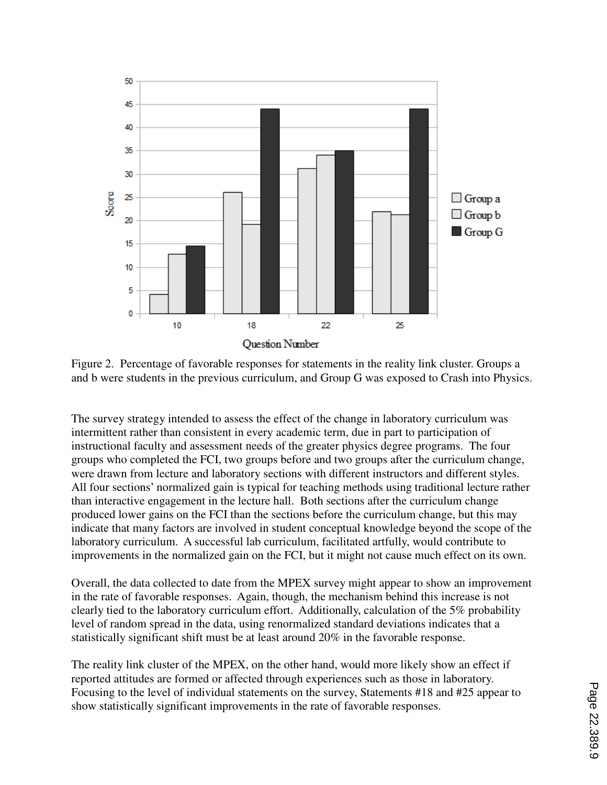

Figure 2. Percentage of favorable responses for statements in the reality link cluster. Groups a and b were students in the previous curriculum, and Group G was exposed to Crash into Physics.

The survey strategy intended to assess the effect of the change in laboratory curriculum was intermittent rather than consistent in every academic term, due in part to participation of instructional faculty and assessment needs of the greater physics degree programs. The four groups who completed the FCI, two groups before and two groups after the curriculum change, were drawn from lecture and laboratory sections with different instructors and different styles. All four sections' normalized gain is typical for teaching methods using traditional lecture rather than interactive engagement in the lecture hall. Both sections after the curriculum change produced lower gains on the FCI than the sections before the curriculum change, but this may indicate that many factors are involved in student conceptual knowledge beyond the scope of the laboratory curriculum. A successful lab curriculum, facilitated artfully, would contribute to improvements in the normalized gain on the FCI, but it might not cause much effect on its own.

Overall, the data collected to date from the MPEX survey might appear to show an improvement in the rate of favorable responses. Again, though, the mechanism behind this increase is not clearly tied to the laboratory curriculum effort. Additionally, calculation of the 5% probability level of random spread in the data, using renormalized standard deviations indicates that a statistically significant shift must be at least around 20% in the favorable response.

The reality link cluster of the MPEX, on the other hand, would more likely show an effect if reported attitudes are formed or affected through experiences such as those in laboratory. Focusing to the level of individual statements on the survey, Statements #18 and #25 appear to show statistically significant improvements in the rate of favorable responses.